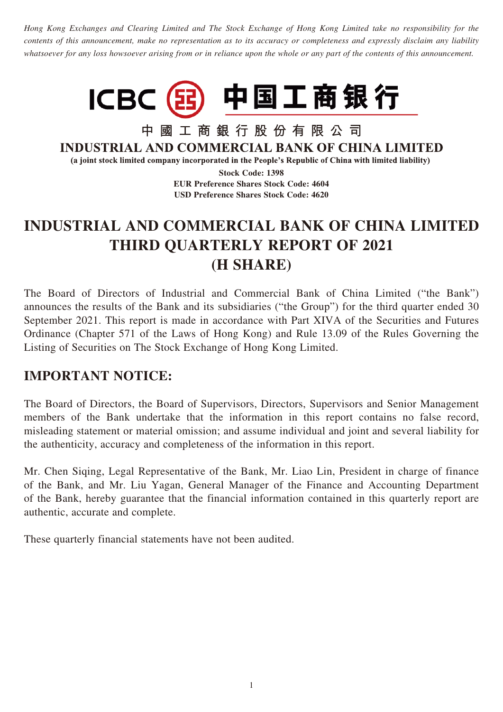*Hong Kong Exchanges and Clearing Limited and The Stock Exchange of Hong Kong Limited take no responsibility for the contents of this announcement, make no representation as to its accuracy or completeness and expressly disclaim any liability whatsoever for any loss howsoever arising from or in reliance upon the whole or any part of the contents of this announcement.*



中國工商銀行股份有限公司 **INDUSTRIAL AND COMMERCIAL BANK OF CHINA LIMITED** 

(a joint stock limited company incorporated in the People's Republic of China with limited liability)

**Stock Code: 1398**

**EUR Preference Shares Stock Code: 4604 USD Preference Shares Stock Code: 4620**

# **INDUSTRIAL AND COMMERCIAL BANK OF CHINA LIMITED THIRD QUARTERLY REPORT OF 2021 (H SHARE)**

The Board of Directors of Industrial and Commercial Bank of China Limited ("the Bank") announces the results of the Bank and its subsidiaries ("the Group") for the third quarter ended 30 September 2021. This report is made in accordance with Part XIVA of the Securities and Futures Ordinance (Chapter 571 of the Laws of Hong Kong) and Rule 13.09 of the Rules Governing the Listing of Securities on The Stock Exchange of Hong Kong Limited.

## **IMPORTANT NOTICE:**

The Board of Directors, the Board of Supervisors, Directors, Supervisors and Senior Management members of the Bank undertake that the information in this report contains no false record, misleading statement or material omission; and assume individual and joint and several liability for the authenticity, accuracy and completeness of the information in this report.

Mr. Chen Siqing, Legal Representative of the Bank, Mr. Liao Lin, President in charge of finance of the Bank, and Mr. Liu Yagan, General Manager of the Finance and Accounting Department of the Bank, hereby guarantee that the financial information contained in this quarterly report are authentic, accurate and complete.

These quarterly financial statements have not been audited.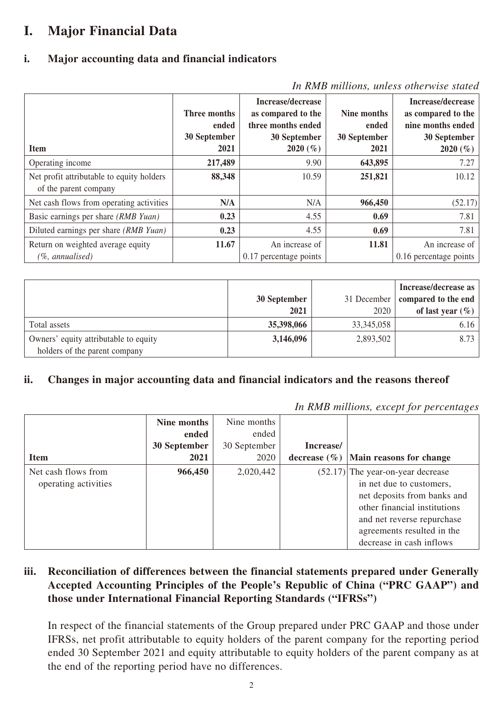# **I. Major Financial Data**

#### **i. Major accounting data and financial indicators**

| In Rh1D munding, whose chief were started                          |                                       |                                                                               |                                      |                                                                              |  |  |  |
|--------------------------------------------------------------------|---------------------------------------|-------------------------------------------------------------------------------|--------------------------------------|------------------------------------------------------------------------------|--|--|--|
|                                                                    | Three months<br>ended<br>30 September | Increase/decrease<br>as compared to the<br>three months ended<br>30 September | Nine months<br>ended<br>30 September | Increase/decrease<br>as compared to the<br>nine months ended<br>30 September |  |  |  |
| <b>Item</b>                                                        | 2021                                  | 2020 $(\% )$                                                                  | 2021                                 | 2020 $(\% )$                                                                 |  |  |  |
| Operating income                                                   | 217,489                               | 9.90                                                                          | 643,895                              | 7.27                                                                         |  |  |  |
| Net profit attributable to equity holders<br>of the parent company | 88,348                                | 10.59                                                                         | 251,821                              | 10.12                                                                        |  |  |  |
| Net cash flows from operating activities                           | N/A                                   | N/A                                                                           | 966,450                              | (52.17)                                                                      |  |  |  |
| Basic earnings per share (RMB Yuan)                                | 0.23                                  | 4.55                                                                          | 0.69                                 | 7.81                                                                         |  |  |  |
| Diluted earnings per share (RMB Yuan)                              | 0.23                                  | 4.55                                                                          | 0.69                                 | 7.81                                                                         |  |  |  |
| Return on weighted average equity<br>$(\%$ , annualised)           | 11.67                                 | An increase of<br>0.17 percentage points                                      | 11.81                                | An increase of<br>0.16 percentage points                                     |  |  |  |
|                                                                    |                                       |                                                                               |                                      |                                                                              |  |  |  |

| In RMB millions, unless otherwise stated |  |  |  |
|------------------------------------------|--|--|--|
|------------------------------------------|--|--|--|

|                                       | 30 September<br>2021 | 31 December<br>2020 | Increase/decrease as<br>compared to the end<br>of last year $(\% )$ |
|---------------------------------------|----------------------|---------------------|---------------------------------------------------------------------|
| Total assets                          | 35,398,066           | 33, 345, 058        | 6.16                                                                |
| Owners' equity attributable to equity | 3,146,096            | 2,893,502           | 8.73                                                                |
| holders of the parent company         |                      |                     |                                                                     |

#### **ii. Changes in major accounting data and financial indicators and the reasons thereof**

|                      | In RMB millions, except for percentages |              |                  |                              |  |
|----------------------|-----------------------------------------|--------------|------------------|------------------------------|--|
|                      | Nine months                             | Nine months  |                  |                              |  |
|                      | ended                                   | ended        |                  |                              |  |
|                      | 30 September                            | 30 September | Increase/        |                              |  |
| <b>Item</b>          | 2021                                    | 2020         | decrease $(\% )$ | Main reasons for change      |  |
| Net cash flows from  | 966,450                                 | 2,020,442    | (52.17)          | The year-on-year decrease    |  |
| operating activities |                                         |              |                  | in net due to customers,     |  |
|                      |                                         |              |                  | net deposits from banks and  |  |
|                      |                                         |              |                  | other financial institutions |  |
|                      |                                         |              |                  | and net reverse repurchase   |  |
|                      |                                         |              |                  | agreements resulted in the   |  |
|                      |                                         |              |                  | decrease in cash inflows     |  |

#### **iii. Reconciliation of differences between the financial statements prepared under Generally Accepted Accounting Principles of the People's Republic of China ("PRC GAAP") and those under International Financial Reporting Standards ("IFRSs")**

In respect of the financial statements of the Group prepared under PRC GAAP and those under IFRSs, net profit attributable to equity holders of the parent company for the reporting period ended 30 September 2021 and equity attributable to equity holders of the parent company as at the end of the reporting period have no differences.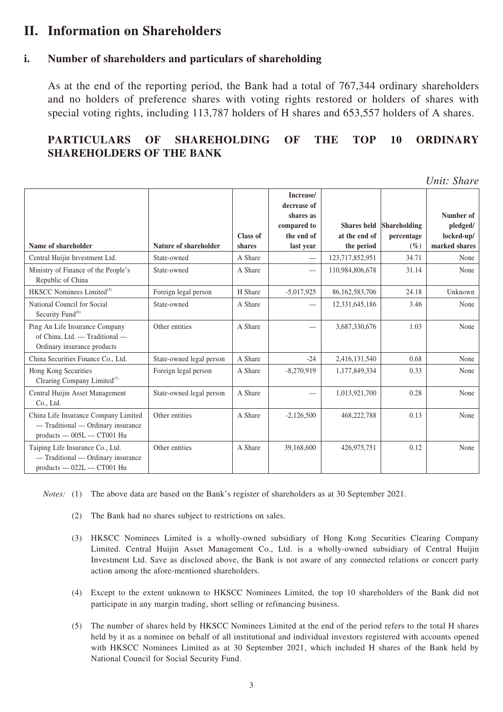## **II. Information on Shareholders**

#### **i. Number of shareholders and particulars of shareholding**

As at the end of the reporting period, the Bank had a total of 767,344 ordinary shareholders and no holders of preference shares with voting rights restored or holders of shares with special voting rights, including 113,787 holders of H shares and 653,557 holders of A shares.

#### **PARTICULARS OF SHAREHOLDING OF THE TOP 10 ORDINARY SHAREHOLDERS OF THE BANK**

*Unit: Share*

| Name of shareholder                                                                                       | Nature of shareholder    | <b>Class of</b><br>shares | Increase/<br>decrease of<br>shares as<br>compared to<br>the end of<br>last year | <b>Shares</b> held<br>at the end of<br>the period | <b>Shareholding</b><br>percentage<br>$(\%)$ | Number of<br>pledged/<br>locked-up/<br>marked shares |
|-----------------------------------------------------------------------------------------------------------|--------------------------|---------------------------|---------------------------------------------------------------------------------|---------------------------------------------------|---------------------------------------------|------------------------------------------------------|
| Central Huijin Investment Ltd.                                                                            | State-owned              | A Share                   | $\overline{\phantom{0}}$                                                        | 123,717,852,951                                   | 34.71                                       | None                                                 |
| Ministry of Finance of the People's<br>Republic of China                                                  | State-owned              | A Share                   |                                                                                 | 110,984,806,678                                   | 31.14                                       | None                                                 |
| HKSCC Nominees Limited <sup>(5)</sup>                                                                     | Foreign legal person     | H Share                   | $-5,017,925$                                                                    | 86,162,583,706                                    | 24.18                                       | Unknown                                              |
| National Council for Social<br>Security Fund <sup>(6)</sup>                                               | State-owned              | A Share                   |                                                                                 | 12,331,645,186                                    | 3.46                                        | None                                                 |
| Ping An Life Insurance Company<br>of China, Ltd. - Traditional -<br>Ordinary insurance products           | Other entities           | A Share                   |                                                                                 | 3,687,330,676                                     | 1.03                                        | None                                                 |
| China Securities Finance Co., Ltd.                                                                        | State-owned legal person | A Share                   | $-24$                                                                           | 2,416,131,540                                     | 0.68                                        | None                                                 |
| Hong Kong Securities<br>Clearing Company Limited <sup>(7)</sup>                                           | Foreign legal person     | A Share                   | $-8,270,919$                                                                    | 1,177,849,334                                     | 0.33                                        | None                                                 |
| Central Huijin Asset Management<br>Co., Ltd.                                                              | State-owned legal person | A Share                   |                                                                                 | 1,013,921,700                                     | 0.28                                        | None                                                 |
| China Life Insurance Company Limited<br>- Traditional - Ordinary insurance<br>$products -005L - CTO01 Hu$ | Other entities           | A Share                   | $-2,126,500$                                                                    | 468,222,788                                       | 0.13                                        | None                                                 |
| Taiping Life Insurance Co., Ltd.<br>- Traditional - Ordinary insurance<br>products - 022L - CT001 Hu      | Other entities           | A Share                   | 39,168,600                                                                      | 426,975,751                                       | 0.12                                        | None                                                 |

*Notes:* (1) The above data are based on the Bank's register of shareholders as at 30 September 2021.

- (2) The Bank had no shares subject to restrictions on sales.
- (3) HKSCC Nominees Limited is a wholly-owned subsidiary of Hong Kong Securities Clearing Company Limited. Central Huijin Asset Management Co., Ltd. is a wholly-owned subsidiary of Central Huijin Investment Ltd. Save as disclosed above, the Bank is not aware of any connected relations or concert party action among the afore-mentioned shareholders.
- (4) Except to the extent unknown to HKSCC Nominees Limited, the top 10 shareholders of the Bank did not participate in any margin trading, short selling or refinancing business.
- (5) The number of shares held by HKSCC Nominees Limited at the end of the period refers to the total H shares held by it as a nominee on behalf of all institutional and individual investors registered with accounts opened with HKSCC Nominees Limited as at 30 September 2021, which included H shares of the Bank held by National Council for Social Security Fund.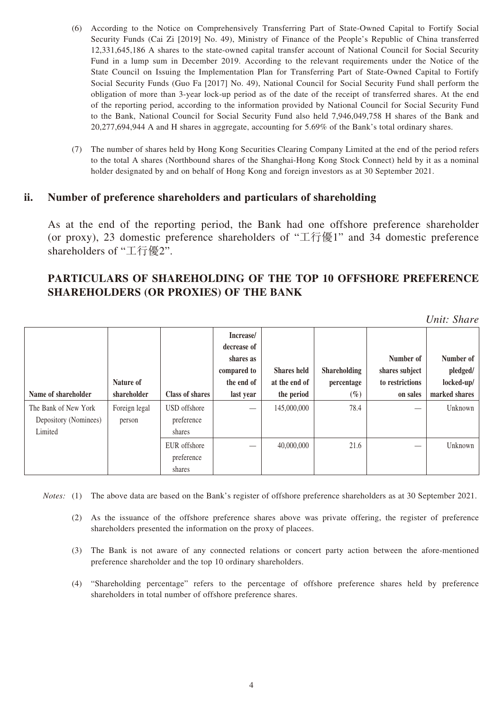- (6) According to the Notice on Comprehensively Transferring Part of State-Owned Capital to Fortify Social Security Funds (Cai Zi [2019] No. 49), Ministry of Finance of the People's Republic of China transferred 12,331,645,186 A shares to the state-owned capital transfer account of National Council for Social Security Fund in a lump sum in December 2019. According to the relevant requirements under the Notice of the State Council on Issuing the Implementation Plan for Transferring Part of State-Owned Capital to Fortify Social Security Funds (Guo Fa [2017] No. 49), National Council for Social Security Fund shall perform the obligation of more than 3-year lock-up period as of the date of the receipt of transferred shares. At the end of the reporting period, according to the information provided by National Council for Social Security Fund to the Bank, National Council for Social Security Fund also held 7,946,049,758 H shares of the Bank and 20,277,694,944 A and H shares in aggregate, accounting for 5.69% of the Bank's total ordinary shares.
- (7) The number of shares held by Hong Kong Securities Clearing Company Limited at the end of the period refers to the total A shares (Northbound shares of the Shanghai-Hong Kong Stock Connect) held by it as a nominal holder designated by and on behalf of Hong Kong and foreign investors as at 30 September 2021.

#### **ii. Number of preference shareholders and particulars of shareholding**

As at the end of the reporting period, the Bank had one offshore preference shareholder (or proxy), 23 domestic preference shareholders of "工行優1" and 34 domestic preference shareholders of "工行優2".

#### **PARTICULARS OF SHAREHOLDING OF THE TOP 10 OFFSHORE PREFERENCE SHAREHOLDERS (OR PROXIES) OF THE BANK**

*Unit: Share*

|                       |               |                        | Increase/<br>decrease of |                    |                     |                 |               |
|-----------------------|---------------|------------------------|--------------------------|--------------------|---------------------|-----------------|---------------|
|                       |               |                        | shares as                |                    |                     | Number of       | Number of     |
|                       |               |                        | compared to              | <b>Shares held</b> | <b>Shareholding</b> | shares subject  | pledged/      |
|                       | Nature of     |                        | the end of               | at the end of      | percentage          | to restrictions | locked-up/    |
| Name of shareholder   | shareholder   | <b>Class of shares</b> | last year                | the period         | $(\%)$              | on sales        | marked shares |
| The Bank of New York  | Foreign legal | USD offshore           |                          | 145,000,000        | 78.4                |                 | Unknown       |
| Depository (Nominees) | person        | preference             |                          |                    |                     |                 |               |
| Limited               |               | shares                 |                          |                    |                     |                 |               |
|                       |               | EUR offshore           |                          | 40,000,000         | 21.6                |                 | Unknown       |
|                       |               | preference             |                          |                    |                     |                 |               |
|                       |               | shares                 |                          |                    |                     |                 |               |

*Notes:* (1) The above data are based on the Bank's register of offshore preference shareholders as at 30 September 2021.

- (2) As the issuance of the offshore preference shares above was private offering, the register of preference shareholders presented the information on the proxy of placees.
- (3) The Bank is not aware of any connected relations or concert party action between the afore-mentioned preference shareholder and the top 10 ordinary shareholders.
- (4) "Shareholding percentage" refers to the percentage of offshore preference shares held by preference shareholders in total number of offshore preference shares.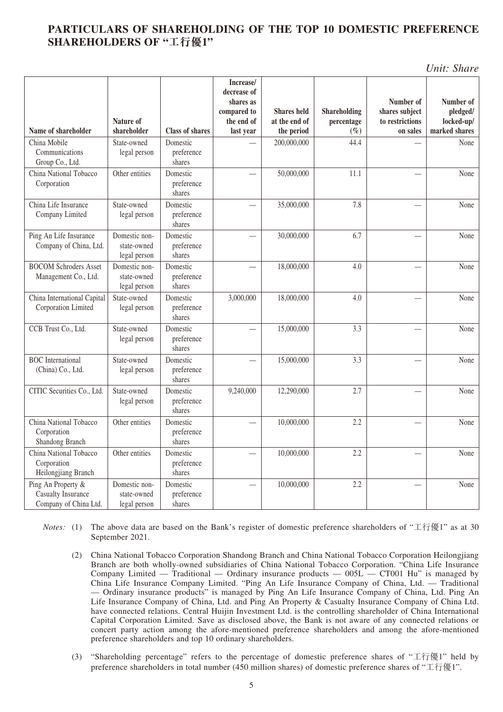#### **PARTICULARS OF SHAREHOLDING OF THE TOP 10 DOMESTIC PREFERENCE SHAREHOLDERS OF "工行優1"**

*Unit: Share*

|                                                                   |                                              |                                  | Increase/<br>decrease of<br>shares as |                                     |                            | Number of                         | Number of              |
|-------------------------------------------------------------------|----------------------------------------------|----------------------------------|---------------------------------------|-------------------------------------|----------------------------|-----------------------------------|------------------------|
|                                                                   | Nature of                                    |                                  | compared to<br>the end of             | <b>Shares held</b><br>at the end of | Shareholding<br>percentage | shares subject<br>to restrictions | pledged/<br>locked-up/ |
| Name of shareholder                                               | shareholder                                  | <b>Class of shares</b>           | last year                             | the period                          | $(\%)$                     | on sales                          | marked shares          |
| China Mobile<br>Communications<br>Group Co., Ltd.                 | State-owned<br>legal person                  | Domestic<br>preference<br>shares |                                       | 200,000,000                         | 44.4                       |                                   | None                   |
| China National Tobacco<br>Corporation                             | Other entities                               | Domestic<br>preference<br>shares |                                       | 50,000,000                          | 11.1                       |                                   | None                   |
| China Life Insurance<br>Company Limited                           | State-owned<br>legal person                  | Domestic<br>preference<br>shares |                                       | 35,000,000                          | 7.8                        |                                   | None                   |
| Ping An Life Insurance<br>Company of China, Ltd.                  | Domestic non-<br>state-owned<br>legal person | Domestic<br>preference<br>shares |                                       | 30,000,000                          | 6.7                        |                                   | None                   |
| <b>BOCOM Schroders Asset</b><br>Management Co., Ltd.              | Domestic non-<br>state-owned<br>legal person | Domestic<br>preference<br>shares |                                       | 18,000,000                          | 4.0                        |                                   | None                   |
| China International Capital<br>Corporation Limited                | State-owned<br>legal person                  | Domestic<br>preference<br>shares | 3,000,000                             | 18,000,000                          | 4.0                        |                                   | None                   |
| CCB Trust Co., Ltd.                                               | State-owned<br>legal person                  | Domestic<br>preference<br>shares |                                       | 15,000,000                          | 3.3                        |                                   | None                   |
| <b>BOC</b> International<br>(China) Co., Ltd.                     | State-owned<br>legal person                  | Domestic<br>preference<br>shares |                                       | 15,000,000                          | 3.3                        |                                   | None                   |
| CITIC Securities Co., Ltd.                                        | State-owned<br>legal person                  | Domestic<br>preference<br>shares | 9,240,000                             | 12,290,000                          | 2.7                        |                                   | None                   |
| China National Tobacco<br>Corporation<br>Shandong Branch          | Other entities                               | Domestic<br>preference<br>shares |                                       | 10,000,000                          | 2.2                        |                                   | None                   |
| China National Tobacco<br>Corporation<br>Heilongjiang Branch      | Other entities                               | Domestic<br>preference<br>shares |                                       | 10,000,000                          | 2.2                        |                                   | None                   |
| Ping An Property &<br>Casualty Insurance<br>Company of China Ltd. | Domestic non-<br>state-owned<br>legal person | Domestic<br>preference<br>shares |                                       | 10,000,000                          | 2.2                        |                                   | None                   |

*Notes:* (1) The above data are based on the Bank's register of domestic preference shareholders of "工行優1" as at 30 September 2021.

- (2) China National Tobacco Corporation Shandong Branch and China National Tobacco Corporation Heilongjiang Branch are both wholly-owned subsidiaries of China National Tobacco Corporation. "China Life Insurance Company Limited — Traditional — Ordinary insurance products —  $005L - C T 001$  Hu" is managed by China Life Insurance Company Limited. "Ping An Life Insurance Company of China, Ltd. — Traditional — Ordinary insurance products" is managed by Ping An Life Insurance Company of China, Ltd. Ping An Life Insurance Company of China, Ltd. and Ping An Property & Casualty Insurance Company of China Ltd. have connected relations. Central Huijin Investment Ltd. is the controlling shareholder of China International Capital Corporation Limited. Save as disclosed above, the Bank is not aware of any connected relations or concert party action among the afore-mentioned preference shareholders and among the afore-mentioned preference shareholders and top 10 ordinary shareholders.
- (3) "Shareholding percentage" refers to the percentage of domestic preference shares of "工行優1" held by preference shareholders in total number (450 million shares) of domestic preference shares of "工行優1".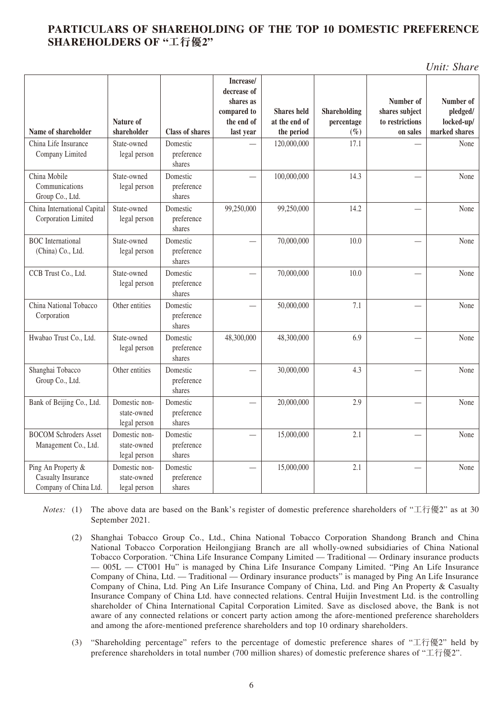#### **PARTICULARS OF SHAREHOLDING OF THE TOP 10 DOMESTIC PREFERENCE SHAREHOLDERS OF "工行優2"**

*Unit: Share*

|                                                                          |                                              |                                  | Increase/<br>decrease of<br>shares as<br>compared to | <b>Shares held</b> | Shareholding | Number of<br>shares subject | Number of<br>pledged/ |
|--------------------------------------------------------------------------|----------------------------------------------|----------------------------------|------------------------------------------------------|--------------------|--------------|-----------------------------|-----------------------|
|                                                                          | Nature of                                    |                                  | the end of                                           | at the end of      | percentage   | to restrictions             | locked-up/            |
| Name of shareholder                                                      | shareholder                                  | <b>Class of shares</b>           | last year                                            | the period         | $(\%)$       | on sales                    | marked shares         |
| China Life Insurance<br>Company Limited                                  | State-owned<br>legal person                  | Domestic<br>preference<br>shares |                                                      | 120,000,000        | 17.1         |                             | None                  |
| China Mobile<br>Communications<br>Group Co., Ltd.                        | State-owned<br>legal person                  | Domestic<br>preference<br>shares |                                                      | 100,000,000        | 14.3         |                             | None                  |
| China International Capital<br>Corporation Limited                       | State-owned<br>legal person                  | Domestic<br>preference<br>shares | 99,250,000                                           | 99,250,000         | 14.2         |                             | None                  |
| <b>BOC</b> International<br>(China) Co., Ltd.                            | State-owned<br>legal person                  | Domestic<br>preference<br>shares |                                                      | 70,000,000         | 10.0         |                             | None                  |
| CCB Trust Co., Ltd.                                                      | State-owned<br>legal person                  | Domestic<br>preference<br>shares |                                                      | 70,000,000         | 10.0         |                             | None                  |
| China National Tobacco<br>Corporation                                    | Other entities                               | Domestic<br>preference<br>shares |                                                      | 50,000,000         | 7.1          |                             | None                  |
| Hwabao Trust Co., Ltd.                                                   | State-owned<br>legal person                  | Domestic<br>preference<br>shares | 48,300,000                                           | 48,300,000         | 6.9          |                             | None                  |
| Shanghai Tobacco<br>Group Co., Ltd.                                      | Other entities                               | Domestic<br>preference<br>shares |                                                      | 30,000,000         | 4.3          |                             | None                  |
| Bank of Beijing Co., Ltd.                                                | Domestic non-<br>state-owned<br>legal person | Domestic<br>preference<br>shares |                                                      | 20,000,000         | 2.9          |                             | None                  |
| <b>BOCOM Schroders Asset</b><br>Management Co., Ltd.                     | Domestic non-<br>state-owned<br>legal person | Domestic<br>preference<br>shares |                                                      | 15,000,000         | 2.1          |                             | None                  |
| Ping An Property &<br><b>Casualty Insurance</b><br>Company of China Ltd. | Domestic non-<br>state-owned<br>legal person | Domestic<br>preference<br>shares |                                                      | 15,000,000         | 2.1          |                             | None                  |

*Notes:* (1) The above data are based on the Bank's register of domestic preference shareholders of "工行優2" as at 30 September 2021.

- (2) Shanghai Tobacco Group Co., Ltd., China National Tobacco Corporation Shandong Branch and China National Tobacco Corporation Heilongjiang Branch are all wholly-owned subsidiaries of China National Tobacco Corporation. "China Life Insurance Company Limited — Traditional — Ordinary insurance products — 005L — CT001 Hu" is managed by China Life Insurance Company Limited. "Ping An Life Insurance Company of China, Ltd. — Traditional — Ordinary insurance products" is managed by Ping An Life Insurance Company of China, Ltd. Ping An Life Insurance Company of China, Ltd. and Ping An Property & Casualty Insurance Company of China Ltd. have connected relations. Central Huijin Investment Ltd. is the controlling shareholder of China International Capital Corporation Limited. Save as disclosed above, the Bank is not aware of any connected relations or concert party action among the afore-mentioned preference shareholders and among the afore-mentioned preference shareholders and top 10 ordinary shareholders.
- (3) "Shareholding percentage" refers to the percentage of domestic preference shares of "工行優2" held by preference shareholders in total number (700 million shares) of domestic preference shares of "工行優2".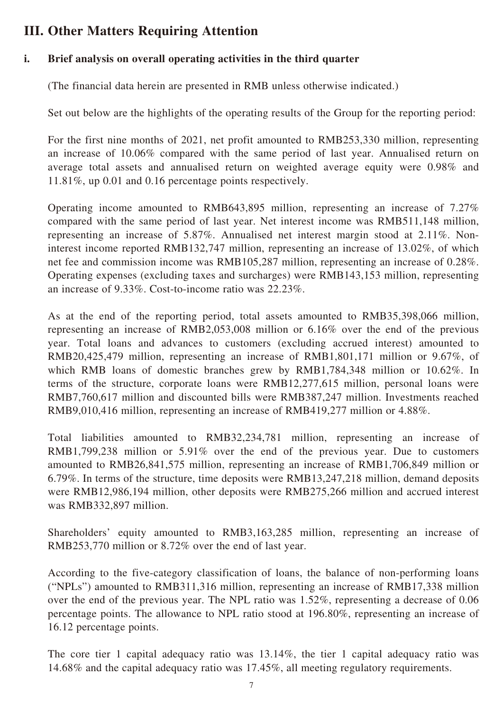# **III. Other Matters Requiring Attention**

#### **i. Brief analysis on overall operating activities in the third quarter**

(The financial data herein are presented in RMB unless otherwise indicated.)

Set out below are the highlights of the operating results of the Group for the reporting period:

For the first nine months of 2021, net profit amounted to RMB253,330 million, representing an increase of 10.06% compared with the same period of last year. Annualised return on average total assets and annualised return on weighted average equity were 0.98% and 11.81%, up 0.01 and 0.16 percentage points respectively.

Operating income amounted to RMB643,895 million, representing an increase of 7.27% compared with the same period of last year. Net interest income was RMB511,148 million, representing an increase of 5.87%. Annualised net interest margin stood at 2.11%. Noninterest income reported RMB132,747 million, representing an increase of 13.02%, of which net fee and commission income was RMB105,287 million, representing an increase of 0.28%. Operating expenses (excluding taxes and surcharges) were RMB143,153 million, representing an increase of 9.33%. Cost-to-income ratio was 22.23%.

As at the end of the reporting period, total assets amounted to RMB35,398,066 million, representing an increase of RMB2,053,008 million or 6.16% over the end of the previous year. Total loans and advances to customers (excluding accrued interest) amounted to RMB20,425,479 million, representing an increase of RMB1,801,171 million or 9.67%, of which RMB loans of domestic branches grew by RMB1,784,348 million or 10.62%. In terms of the structure, corporate loans were RMB12,277,615 million, personal loans were RMB7,760,617 million and discounted bills were RMB387,247 million. Investments reached RMB9,010,416 million, representing an increase of RMB419,277 million or 4.88%.

Total liabilities amounted to RMB32,234,781 million, representing an increase of RMB1,799,238 million or 5.91% over the end of the previous year. Due to customers amounted to RMB26,841,575 million, representing an increase of RMB1,706,849 million or 6.79%. In terms of the structure, time deposits were RMB13,247,218 million, demand deposits were RMB12,986,194 million, other deposits were RMB275,266 million and accrued interest was RMB332,897 million.

Shareholders' equity amounted to RMB3,163,285 million, representing an increase of RMB253,770 million or 8.72% over the end of last year.

According to the five-category classification of loans, the balance of non-performing loans ("NPLs") amounted to RMB311,316 million, representing an increase of RMB17,338 million over the end of the previous year. The NPL ratio was 1.52%, representing a decrease of 0.06 percentage points. The allowance to NPL ratio stood at 196.80%, representing an increase of 16.12 percentage points.

The core tier 1 capital adequacy ratio was 13.14%, the tier 1 capital adequacy ratio was 14.68% and the capital adequacy ratio was 17.45%, all meeting regulatory requirements.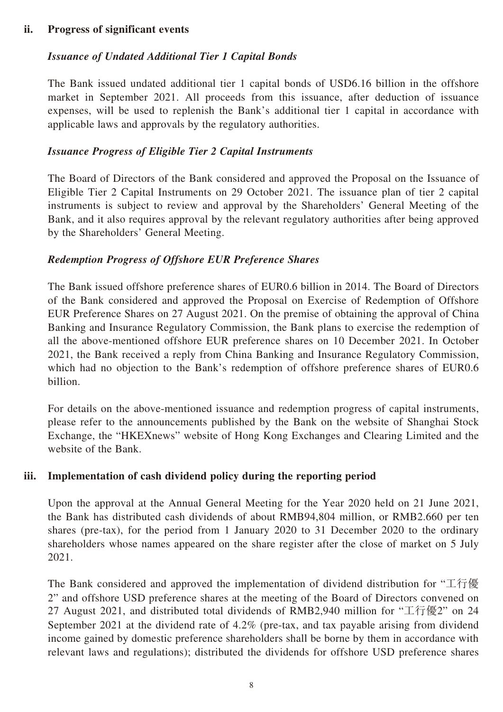#### **ii. Progress of significant events**

#### *Issuance of Undated Additional Tier 1 Capital Bonds*

The Bank issued undated additional tier 1 capital bonds of USD6.16 billion in the offshore market in September 2021. All proceeds from this issuance, after deduction of issuance expenses, will be used to replenish the Bank's additional tier 1 capital in accordance with applicable laws and approvals by the regulatory authorities.

#### *Issuance Progress of Eligible Tier 2 Capital Instruments*

The Board of Directors of the Bank considered and approved the Proposal on the Issuance of Eligible Tier 2 Capital Instruments on 29 October 2021. The issuance plan of tier 2 capital instruments is subject to review and approval by the Shareholders' General Meeting of the Bank, and it also requires approval by the relevant regulatory authorities after being approved by the Shareholders' General Meeting.

#### *Redemption Progress of Offshore EUR Preference Shares*

The Bank issued offshore preference shares of EUR0.6 billion in 2014. The Board of Directors of the Bank considered and approved the Proposal on Exercise of Redemption of Offshore EUR Preference Shares on 27 August 2021. On the premise of obtaining the approval of China Banking and Insurance Regulatory Commission, the Bank plans to exercise the redemption of all the above-mentioned offshore EUR preference shares on 10 December 2021. In October 2021, the Bank received a reply from China Banking and Insurance Regulatory Commission, which had no objection to the Bank's redemption of offshore preference shares of EUR0.6 billion.

For details on the above-mentioned issuance and redemption progress of capital instruments, please refer to the announcements published by the Bank on the website of Shanghai Stock Exchange, the "HKEXnews" website of Hong Kong Exchanges and Clearing Limited and the website of the Bank.

#### **iii. Implementation of cash dividend policy during the reporting period**

Upon the approval at the Annual General Meeting for the Year 2020 held on 21 June 2021, the Bank has distributed cash dividends of about RMB94,804 million, or RMB2.660 per ten shares (pre-tax), for the period from 1 January 2020 to 31 December 2020 to the ordinary shareholders whose names appeared on the share register after the close of market on 5 July 2021.

The Bank considered and approved the implementation of dividend distribution for "工行優 2" and offshore USD preference shares at the meeting of the Board of Directors convened on 27 August 2021, and distributed total dividends of RMB2,940 million for "工行優2" on 24 September 2021 at the dividend rate of 4.2% (pre-tax, and tax payable arising from dividend income gained by domestic preference shareholders shall be borne by them in accordance with relevant laws and regulations); distributed the dividends for offshore USD preference shares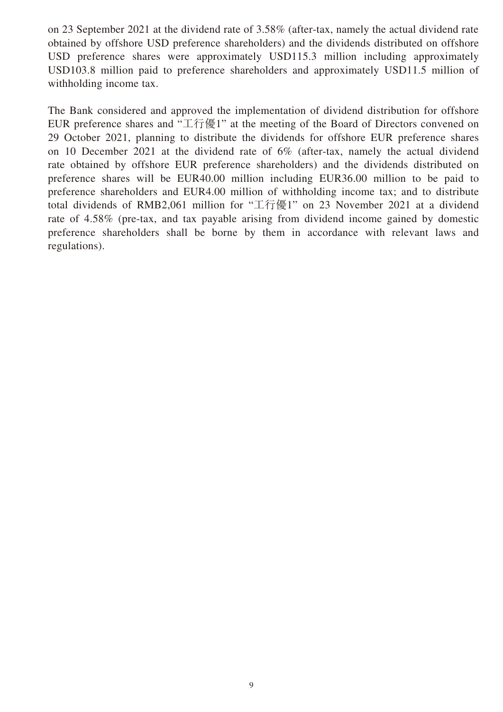on 23 September 2021 at the dividend rate of 3.58% (after-tax, namely the actual dividend rate obtained by offshore USD preference shareholders) and the dividends distributed on offshore USD preference shares were approximately USD115.3 million including approximately USD103.8 million paid to preference shareholders and approximately USD11.5 million of withholding income tax.

The Bank considered and approved the implementation of dividend distribution for offshore EUR preference shares and "工行優1" at the meeting of the Board of Directors convened on 29 October 2021, planning to distribute the dividends for offshore EUR preference shares on 10 December 2021 at the dividend rate of 6% (after-tax, namely the actual dividend rate obtained by offshore EUR preference shareholders) and the dividends distributed on preference shares will be EUR40.00 million including EUR36.00 million to be paid to preference shareholders and EUR4.00 million of withholding income tax; and to distribute total dividends of RMB2,061 million for "工行優1" on 23 November 2021 at a dividend rate of 4.58% (pre-tax, and tax payable arising from dividend income gained by domestic preference shareholders shall be borne by them in accordance with relevant laws and regulations).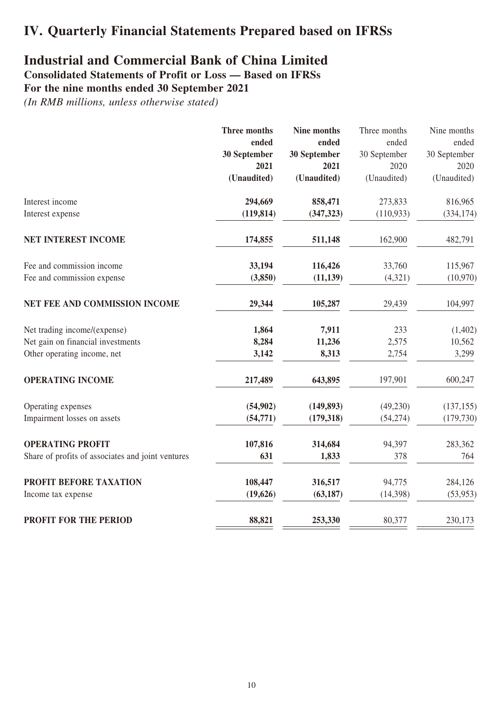# **IV. Quarterly Financial Statements Prepared based on IFRSs**

## **Industrial and Commercial Bank of China Limited**

**Consolidated Statements of Profit or Loss — Based on IFRSs**

#### **For the nine months ended 30 September 2021**

|                                                   | Three months | Nine months  | Three months | Nine months  |
|---------------------------------------------------|--------------|--------------|--------------|--------------|
|                                                   | ended        | ended        | ended        | ended        |
|                                                   | 30 September | 30 September | 30 September | 30 September |
|                                                   | 2021         | 2021         | 2020         | 2020         |
|                                                   | (Unaudited)  | (Unaudited)  | (Unaudited)  | (Unaudited)  |
| Interest income                                   | 294,669      | 858,471      | 273,833      | 816,965      |
| Interest expense                                  | (119, 814)   | (347, 323)   | (110, 933)   | (334, 174)   |
| <b>NET INTEREST INCOME</b>                        | 174,855      | 511,148      | 162,900      | 482,791      |
| Fee and commission income                         | 33,194       | 116,426      | 33,760       | 115,967      |
| Fee and commission expense                        | (3,850)      | (11, 139)    | (4,321)      | (10,970)     |
| NET FEE AND COMMISSION INCOME                     | 29,344       | 105,287      | 29,439       | 104,997      |
| Net trading income/(expense)                      | 1,864        | 7,911        | 233          | (1,402)      |
| Net gain on financial investments                 | 8,284        | 11,236       | 2,575        | 10,562       |
| Other operating income, net                       | 3,142        | 8,313        | 2,754        | 3,299        |
| <b>OPERATING INCOME</b>                           | 217,489      | 643,895      | 197,901      | 600,247      |
| Operating expenses                                | (54,902)     | (149, 893)   | (49,230)     | (137, 155)   |
| Impairment losses on assets                       | (54, 771)    | (179, 318)   | (54, 274)    | (179, 730)   |
| <b>OPERATING PROFIT</b>                           | 107,816      | 314,684      | 94,397       | 283,362      |
| Share of profits of associates and joint ventures | 631          | 1,833        | 378          | 764          |
| PROFIT BEFORE TAXATION                            | 108,447      | 316,517      | 94,775       | 284,126      |
| Income tax expense                                | (19, 626)    | (63, 187)    | (14, 398)    | (53, 953)    |
| PROFIT FOR THE PERIOD                             | 88,821       | 253,330      | 80,377       | 230,173      |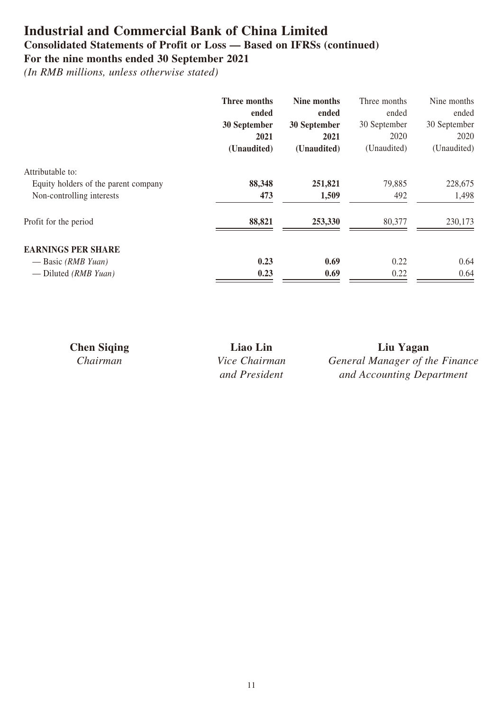## **Industrial and Commercial Bank of China Limited Consolidated Statements of Profit or Loss — Based on IFRSs (continued)**

### **For the nine months ended 30 September 2021**

|                                      | <b>Three months</b> | Nine months  | Three months | Nine months  |
|--------------------------------------|---------------------|--------------|--------------|--------------|
|                                      | ended               | ended        | ended        | ended        |
|                                      | 30 September        | 30 September | 30 September | 30 September |
|                                      | 2021                | 2021         | 2020         | 2020         |
|                                      | (Unaudited)         | (Unaudited)  | (Unaudited)  | (Unaudited)  |
| Attributable to:                     |                     |              |              |              |
| Equity holders of the parent company | 88,348              | 251,821      | 79,885       | 228,675      |
| Non-controlling interests            | 473                 | 1,509        | 492          | 1,498        |
| Profit for the period                | 88,821              | 253,330      | 80,377       | 230,173      |
| <b>EARNINGS PER SHARE</b>            |                     |              |              |              |
| — Basic (RMB Yuan)                   | 0.23                | 0.69         | 0.22         | 0.64         |
| — Diluted ( $RMBYuan$ )              | 0.23                | 0.69         | 0.22         | 0.64         |

| <b>Chen Siging</b> | Liao Lin             | Liu Yagan                      |
|--------------------|----------------------|--------------------------------|
| Chairman           | <i>Vice Chairman</i> | General Manager of the Finance |
|                    | and President        | and Accounting Department      |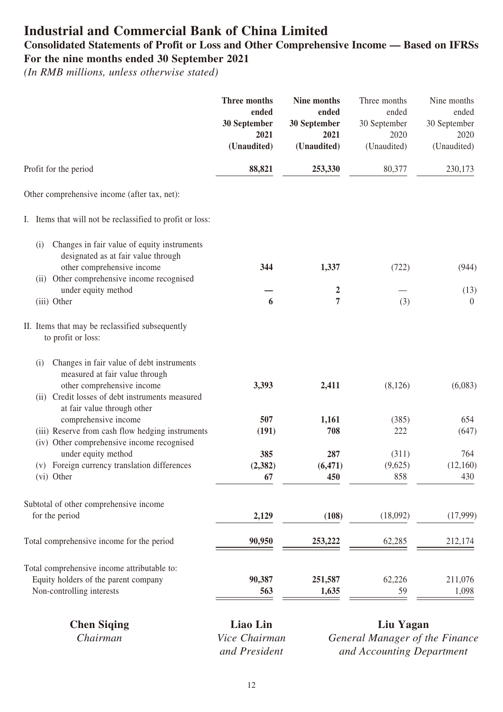## **Industrial and Commercial Bank of China Limited Consolidated Statements of Profit or Loss and Other Comprehensive Income — Based on IFRSs For the nine months ended 30 September 2021**

*(In RMB millions, unless otherwise stated)*

|                                                                                                                  | Three months         | Nine months          | Three months         | Nine months          |
|------------------------------------------------------------------------------------------------------------------|----------------------|----------------------|----------------------|----------------------|
|                                                                                                                  | ended                | ended                | ended                | ended                |
|                                                                                                                  | 30 September<br>2021 | 30 September<br>2021 | 30 September<br>2020 | 30 September<br>2020 |
|                                                                                                                  | (Unaudited)          | (Unaudited)          | (Unaudited)          | (Unaudited)          |
| Profit for the period                                                                                            | 88,821               | 253,330              | 80,377               | 230,173              |
| Other comprehensive income (after tax, net):                                                                     |                      |                      |                      |                      |
| I. Items that will not be reclassified to profit or loss:                                                        |                      |                      |                      |                      |
| Changes in fair value of equity instruments<br>(i)<br>designated as at fair value through                        |                      |                      |                      |                      |
| other comprehensive income<br>(ii) Other comprehensive income recognised                                         | 344                  | 1,337                | (722)                | (944)                |
| under equity method                                                                                              |                      | 2                    |                      | (13)                 |
| (iii) Other                                                                                                      | 6                    | 7                    | (3)                  | $\overline{0}$       |
| II. Items that may be reclassified subsequently<br>to profit or loss:                                            |                      |                      |                      |                      |
| Changes in fair value of debt instruments<br>(i)<br>measured at fair value through<br>other comprehensive income | 3,393                | 2,411                | (8,126)              | (6,083)              |
| (ii) Credit losses of debt instruments measured<br>at fair value through other                                   |                      |                      |                      |                      |
| comprehensive income                                                                                             | 507                  | 1,161                | (385)                | 654                  |
| (iii) Reserve from cash flow hedging instruments<br>(iv) Other comprehensive income recognised                   | (191)                | 708                  | 222                  | (647)                |
| under equity method                                                                                              | 385                  | 287                  | (311)                | 764                  |
| (v) Foreign currency translation differences                                                                     | (2, 382)             | (6, 471)             | (9,625)              | (12,160)             |
| (vi) Other                                                                                                       | 67                   | 450                  | 858                  | 430                  |
| Subtotal of other comprehensive income                                                                           |                      |                      |                      |                      |
| for the period                                                                                                   | 2,129                | (108)                | (18,092)             | (17,999)             |
| Total comprehensive income for the period                                                                        | 90,950               | 253,222              | 62,285               | 212,174              |
| Total comprehensive income attributable to:                                                                      |                      |                      |                      |                      |
| Equity holders of the parent company                                                                             | 90,387               | 251,587              | 62,226               | 211,076              |
| Non-controlling interests                                                                                        | 563                  | 1,635                | 59                   | 1,098                |
|                                                                                                                  |                      |                      |                      |                      |

| <b>Chen Siging</b> | Liao Lin      |
|--------------------|---------------|
| Chairman           | Vice Chairman |
|                    | and President |

**Chen Siqing Liao Lin Liu Yagan** *General Manager of the Finance and Accounting Department*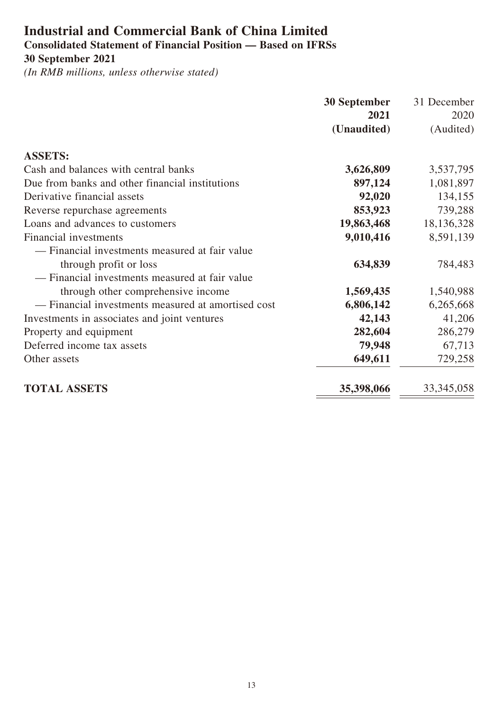## **Industrial and Commercial Bank of China Limited Consolidated Statement of Financial Position — Based on IFRSs 30 September 2021**

|                                                    | <b>30 September</b> | 31 December  |
|----------------------------------------------------|---------------------|--------------|
|                                                    | 2021                | 2020         |
|                                                    | (Unaudited)         | (Audited)    |
| <b>ASSETS:</b>                                     |                     |              |
| Cash and balances with central banks               | 3,626,809           | 3,537,795    |
| Due from banks and other financial institutions    | 897,124             | 1,081,897    |
| Derivative financial assets                        | 92,020              | 134,155      |
| Reverse repurchase agreements                      | 853,923             | 739,288      |
| Loans and advances to customers                    | 19,863,468          | 18,136,328   |
| <b>Financial investments</b>                       | 9,010,416           | 8,591,139    |
| — Financial investments measured at fair value     |                     |              |
| through profit or loss                             | 634,839             | 784,483      |
| — Financial investments measured at fair value     |                     |              |
| through other comprehensive income                 | 1,569,435           | 1,540,988    |
| - Financial investments measured at amortised cost | 6,806,142           | 6,265,668    |
| Investments in associates and joint ventures       | 42,143              | 41,206       |
| Property and equipment                             | 282,604             | 286,279      |
| Deferred income tax assets                         | 79,948              | 67,713       |
| Other assets                                       | 649,611             | 729,258      |
| <b>TOTAL ASSETS</b>                                | 35,398,066          | 33, 345, 058 |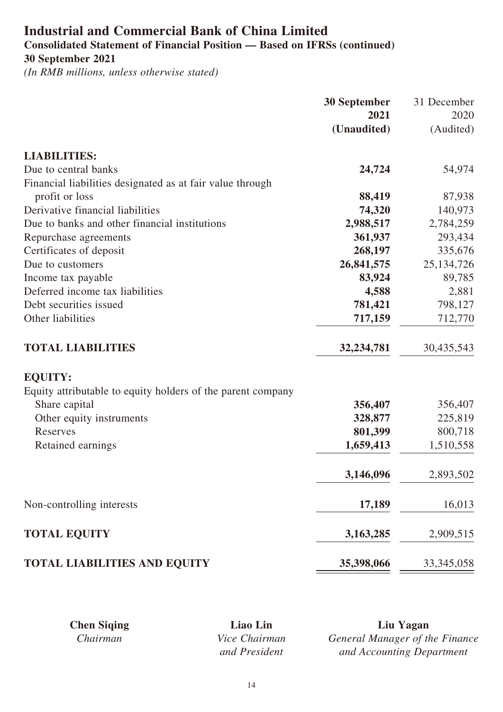# **Industrial and Commercial Bank of China Limited**

**Consolidated Statement of Financial Position — Based on IFRSs (continued) 30 September 2021**

|                                                             | <b>30 September</b> | 31 December  |
|-------------------------------------------------------------|---------------------|--------------|
|                                                             | 2021                | 2020         |
|                                                             | (Unaudited)         | (Audited)    |
| <b>LIABILITIES:</b>                                         |                     |              |
| Due to central banks                                        | 24,724              | 54,974       |
| Financial liabilities designated as at fair value through   |                     |              |
| profit or loss                                              | 88,419              | 87,938       |
| Derivative financial liabilities                            | 74,320              | 140,973      |
| Due to banks and other financial institutions               | 2,988,517           | 2,784,259    |
| Repurchase agreements                                       | 361,937             | 293,434      |
| Certificates of deposit                                     | 268,197             | 335,676      |
| Due to customers                                            | 26,841,575          | 25, 134, 726 |
| Income tax payable                                          | 83,924              | 89,785       |
| Deferred income tax liabilities                             | 4,588               | 2,881        |
| Debt securities issued                                      | 781,421             | 798,127      |
| Other liabilities                                           | 717,159             | 712,770      |
| <b>TOTAL LIABILITIES</b>                                    | 32,234,781          | 30,435,543   |
| <b>EQUITY:</b>                                              |                     |              |
| Equity attributable to equity holders of the parent company |                     |              |
| Share capital                                               | 356,407             | 356,407      |
| Other equity instruments                                    | 328,877             | 225,819      |
| Reserves                                                    | 801,399             | 800,718      |
| Retained earnings                                           | 1,659,413           | 1,510,558    |
|                                                             | 3,146,096           | 2,893,502    |
| Non-controlling interests                                   | 17,189              | 16,013       |
| <b>TOTAL EQUITY</b>                                         | 3,163,285           | 2,909,515    |
| <b>TOTAL LIABILITIES AND EQUITY</b>                         | 35,398,066          | 33, 345, 058 |

| <b>Chen Siging</b> | Liao Lin             | Liu Yagan                      |
|--------------------|----------------------|--------------------------------|
| Chairman           | <i>Vice Chairman</i> | General Manager of the Finance |
|                    | and President        | and Accounting Department      |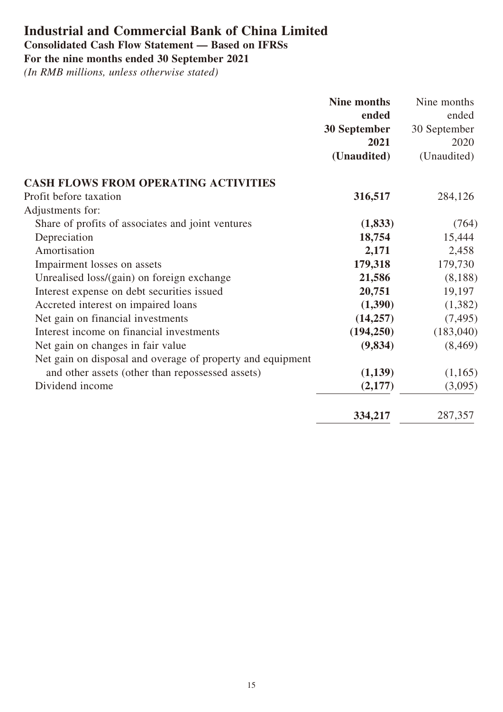# **Industrial and Commercial Bank of China Limited**

# **Consolidated Cash Flow Statement — Based on IFRSs**

**For the nine months ended 30 September 2021**

|                                                            | Nine months  | Nine months  |
|------------------------------------------------------------|--------------|--------------|
|                                                            | ended        | ended        |
|                                                            | 30 September | 30 September |
|                                                            | 2021         | 2020         |
|                                                            | (Unaudited)  | (Unaudited)  |
| <b>CASH FLOWS FROM OPERATING ACTIVITIES</b>                |              |              |
| Profit before taxation                                     | 316,517      | 284,126      |
| Adjustments for:                                           |              |              |
| Share of profits of associates and joint ventures          | (1, 833)     | (764)        |
| Depreciation                                               | 18,754       | 15,444       |
| Amortisation                                               | 2,171        | 2,458        |
| Impairment losses on assets                                | 179,318      | 179,730      |
| Unrealised loss/(gain) on foreign exchange                 | 21,586       | (8,188)      |
| Interest expense on debt securities issued                 | 20,751       | 19,197       |
| Accreted interest on impaired loans                        | (1,390)      | (1,382)      |
| Net gain on financial investments                          | (14,257)     | (7, 495)     |
| Interest income on financial investments                   | (194, 250)   | (183,040)    |
| Net gain on changes in fair value                          | (9,834)      | (8, 469)     |
| Net gain on disposal and overage of property and equipment |              |              |
| and other assets (other than repossessed assets)           | (1,139)      | (1,165)      |
| Dividend income                                            | (2,177)      | (3,095)      |
|                                                            | 334,217      | 287,357      |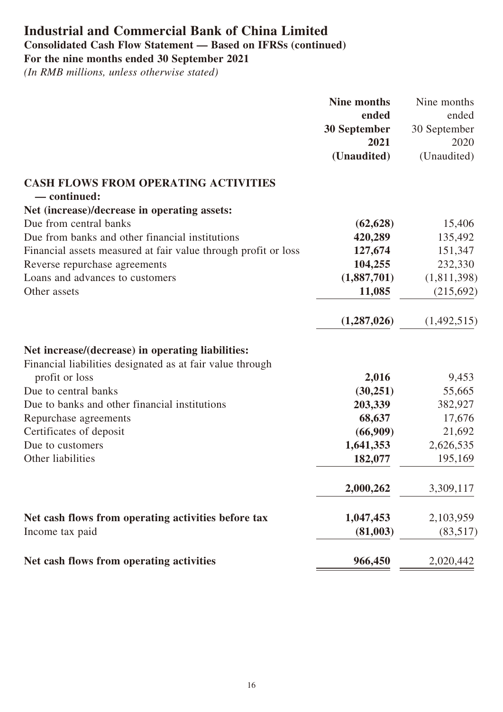# **Industrial and Commercial Bank of China Limited Consolidated Cash Flow Statement — Based on IFRSs (continued)**

**For the nine months ended 30 September 2021**

|                                                                | <b>Nine months</b>  | Nine months  |
|----------------------------------------------------------------|---------------------|--------------|
|                                                                | ended               | ended        |
|                                                                | <b>30 September</b> | 30 September |
|                                                                | 2021                | 2020         |
|                                                                | (Unaudited)         | (Unaudited)  |
| <b>CASH FLOWS FROM OPERATING ACTIVITIES</b>                    |                     |              |
| - continued:                                                   |                     |              |
| Net (increase)/decrease in operating assets:                   |                     |              |
| Due from central banks                                         | (62, 628)           | 15,406       |
| Due from banks and other financial institutions                | 420,289             | 135,492      |
| Financial assets measured at fair value through profit or loss | 127,674             | 151,347      |
| Reverse repurchase agreements                                  | 104,255             | 232,330      |
| Loans and advances to customers                                | (1,887,701)         | (1,811,398)  |
| Other assets                                                   | 11,085              | (215,692)    |
|                                                                | (1,287,026)         | (1,492,515)  |
| Net increase/(decrease) in operating liabilities:              |                     |              |
| Financial liabilities designated as at fair value through      |                     |              |
| profit or loss                                                 | 2,016               | 9,453        |
| Due to central banks                                           | (30,251)            | 55,665       |
| Due to banks and other financial institutions                  | 203,339             | 382,927      |
| Repurchase agreements                                          | 68,637              | 17,676       |
| Certificates of deposit                                        | (66,909)            | 21,692       |
| Due to customers                                               | 1,641,353           | 2,626,535    |
| Other liabilities                                              | 182,077             | 195,169      |
|                                                                | 2,000,262           | 3,309,117    |
| Net cash flows from operating activities before tax            | 1,047,453           | 2,103,959    |
| Income tax paid                                                | (81,003)            | (83,517)     |
| Net cash flows from operating activities                       | 966,450             | 2,020,442    |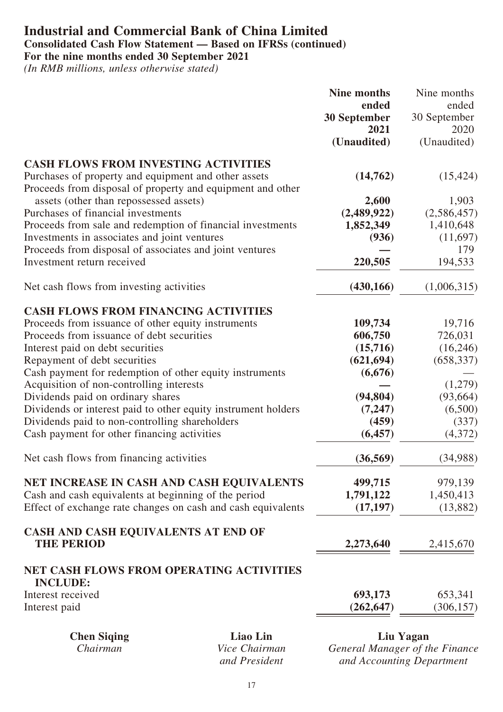#### **Industrial and Commercial Bank of China Limited Consolidated Cash Flow Statement — Based on IFRSs (continued) For the nine months ended 30 September 2021**

*(In RMB millions, unless otherwise stated)*

|                                                                                                   |          | Nine months         | Nine months         |
|---------------------------------------------------------------------------------------------------|----------|---------------------|---------------------|
|                                                                                                   |          | ended               | ended               |
|                                                                                                   |          | <b>30 September</b> | 30 September        |
|                                                                                                   |          | 2021<br>(Unaudited) | 2020<br>(Unaudited) |
|                                                                                                   |          |                     |                     |
| <b>CASH FLOWS FROM INVESTING ACTIVITIES</b>                                                       |          |                     |                     |
| Purchases of property and equipment and other assets                                              |          | (14,762)            | (15, 424)           |
| Proceeds from disposal of property and equipment and other                                        |          |                     |                     |
| assets (other than repossessed assets)                                                            |          | 2,600               | 1,903               |
| Purchases of financial investments                                                                |          | (2,489,922)         | (2,586,457)         |
| Proceeds from sale and redemption of financial investments                                        |          | 1,852,349           | 1,410,648           |
| Investments in associates and joint ventures                                                      |          | (936)               | (11,697)            |
| Proceeds from disposal of associates and joint ventures                                           |          |                     | 179                 |
| Investment return received                                                                        |          | 220,505             | 194,533             |
| Net cash flows from investing activities                                                          |          | (430, 166)          | (1,006,315)         |
|                                                                                                   |          |                     |                     |
| <b>CASH FLOWS FROM FINANCING ACTIVITIES</b><br>Proceeds from issuance of other equity instruments |          | 109,734             | 19,716              |
| Proceeds from issuance of debt securities                                                         |          | 606,750             | 726,031             |
| Interest paid on debt securities                                                                  |          | (15,716)            | (16,246)            |
| Repayment of debt securities                                                                      |          | (621, 694)          | (658, 337)          |
| Cash payment for redemption of other equity instruments                                           |          | (6,676)             |                     |
| Acquisition of non-controlling interests                                                          |          |                     | (1,279)             |
| Dividends paid on ordinary shares                                                                 |          | (94, 804)           | (93, 664)           |
| Dividends or interest paid to other equity instrument holders                                     |          | (7, 247)            | (6,500)             |
| Dividends paid to non-controlling shareholders                                                    |          | (459)               | (337)               |
| Cash payment for other financing activities                                                       |          | (6, 457)            | (4,372)             |
| Net cash flows from financing activities                                                          |          | (36, 569)           | (34,988)            |
| NET INCREASE IN CASH AND CASH EQUIVALENTS                                                         |          | 499,715             | 979,139             |
| Cash and cash equivalents at beginning of the period                                              |          | 1,791,122           | 1,450,413           |
| Effect of exchange rate changes on cash and cash equivalents                                      |          | (17, 197)           | (13,882)            |
| CASH AND CASH EQUIVALENTS AT END OF<br><b>THE PERIOD</b>                                          |          | 2,273,640           | 2,415,670           |
|                                                                                                   |          |                     |                     |
| <b>NET CASH FLOWS FROM OPERATING ACTIVITIES</b><br><b>INCLUDE:</b>                                |          |                     |                     |
| Interest received                                                                                 |          | 693,173             | 653,341             |
| Interest paid                                                                                     |          | (262, 647)          | (306, 157)          |
| <b>Chen Siqing</b>                                                                                | Liao Lin |                     | Liu Yagan           |

*Chairman Vice Chairman and President*

*General Manager of the Finance and Accounting Department*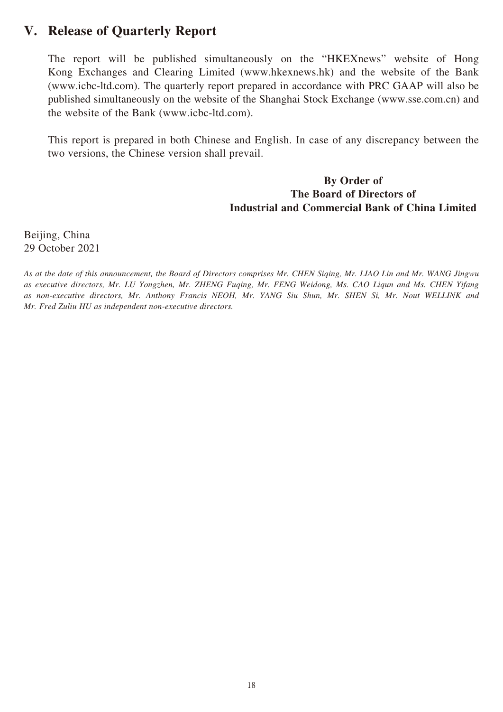## **V. Release of Quarterly Report**

The report will be published simultaneously on the "HKEXnews" website of Hong Kong Exchanges and Clearing Limited (www.hkexnews.hk) and the website of the Bank (www.icbc-ltd.com). The quarterly report prepared in accordance with PRC GAAP will also be published simultaneously on the website of the Shanghai Stock Exchange (www.sse.com.cn) and the website of the Bank (www.icbc-ltd.com).

This report is prepared in both Chinese and English. In case of any discrepancy between the two versions, the Chinese version shall prevail.

#### **By Order of The Board of Directors of Industrial and Commercial Bank of China Limited**

Beijing, China 29 October 2021

*As at the date of this announcement, the Board of Directors comprises Mr. CHEN Siqing, Mr. LIAO Lin and Mr. WANG Jingwu as executive directors, Mr. LU Yongzhen, Mr. ZHENG Fuqing, Mr. FENG Weidong, Ms. CAO Liqun and Ms. CHEN Yifang as non-executive directors, Mr. Anthony Francis NEOH, Mr. YANG Siu Shun, Mr. SHEN Si, Mr. Nout WELLINK and Mr. Fred Zuliu HU as independent non-executive directors.*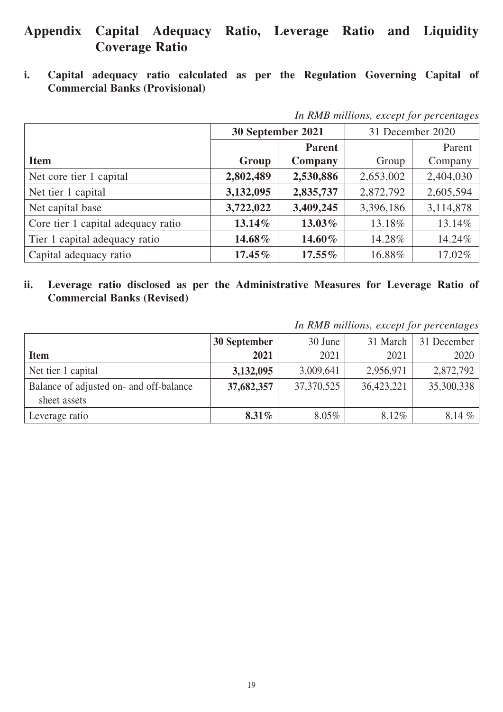## **Appendix Capital Adequacy Ratio, Leverage Ratio and Liquidity Coverage Ratio**

**i. Capital adequacy ratio calculated as per the Regulation Governing Capital of Commercial Banks (Provisional)**

|                                    | 30 September 2021 |               | 31 December 2020 |           |
|------------------------------------|-------------------|---------------|------------------|-----------|
|                                    |                   | <b>Parent</b> |                  | Parent    |
| <b>Item</b>                        | Group             | Company       | Group            | Company   |
| Net core tier 1 capital            | 2,802,489         | 2,530,886     | 2,653,002        | 2,404,030 |
| Net tier 1 capital                 | 3,132,095         | 2,835,737     | 2,872,792        | 2,605,594 |
| Net capital base                   | 3,722,022         | 3,409,245     | 3,396,186        | 3,114,878 |
| Core tier 1 capital adequacy ratio | 13.14%            | $13.03\%$     | 13.18%           | 13.14%    |
| Tier 1 capital adequacy ratio      | 14.68%            | 14.60%        | 14.28%           | 14.24%    |
| Capital adequacy ratio             | $17.45\%$         | $17.55\%$     | 16.88%           | 17.02%    |

*In RMB millions, except for percentages*

**ii. Leverage ratio disclosed as per the Administrative Measures for Leverage Ratio of Commercial Banks (Revised)**

*In RMB millions, except for percentages*

|                                                         | 30 September | 30 June      | 31 March   | 31 December |
|---------------------------------------------------------|--------------|--------------|------------|-------------|
| <b>Item</b>                                             | 2021         | 2021         | 2021       | 2020        |
| Net tier 1 capital                                      | 3,132,095    | 3,009,641    | 2,956,971  | 2,872,792   |
| Balance of adjusted on- and off-balance<br>sheet assets | 37,682,357   | 37, 370, 525 | 36,423,221 | 35,300,338  |
| Leverage ratio                                          | $8.31\%$     | 8.05%        | 8.12%      | $8.14 \%$   |